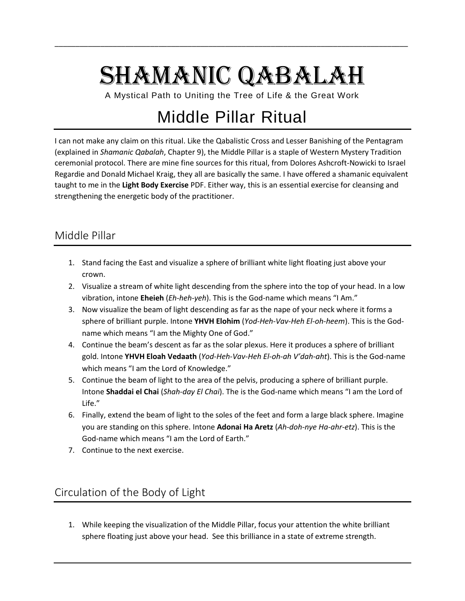## SHAMANIC QABALAH

\_\_\_\_\_\_\_\_\_\_\_\_\_\_\_\_\_\_\_\_\_\_\_\_\_\_\_\_\_\_\_\_\_\_\_\_\_\_\_\_\_\_\_\_\_\_\_\_\_\_\_\_\_\_\_\_\_\_\_\_\_\_\_\_\_\_\_\_\_\_\_\_\_\_\_\_\_\_\_\_\_\_\_\_\_

A Mystical Path to Uniting the Tree of Life & the Great Work

## Middle Pillar Ritual

I can not make any claim on this ritual. Like the Qabalistic Cross and Lesser Banishing of the Pentagram (explained in *Shamanic Qabalah*, Chapter 9), the Middle Pillar is a staple of Western Mystery Tradition ceremonial protocol. There are mine fine sources for this ritual, from Dolores Ashcroft-Nowicki to Israel Regardie and Donald Michael Kraig, they all are basically the same. I have offered a shamanic equivalent taught to me in the **Light Body Exercise** PDF. Either way, this is an essential exercise for cleansing and strengthening the energetic body of the practitioner.

## Middle Pillar

- 1. Stand facing the East and visualize a sphere of brilliant white light floating just above your crown.
- 2. Visualize a stream of white light descending from the sphere into the top of your head. In a low vibration, intone **Eheieh** (*Eh-heh-yeh*). This is the God-name which means "I Am."
- 3. Now visualize the beam of light descending as far as the nape of your neck where it forms a sphere of brilliant purple. Intone **YHVH Elohim** (*Yod-Heh-Vav-Heh El-oh-heem*). This is the Godname which means "I am the Mighty One of God."
- 4. Continue the beam's descent as far as the solar plexus. Here it produces a sphere of brilliant gold. Intone **YHVH Eloah Vedaath** (*Yod-Heh-Vav-Heh El-oh-ah V'dah-aht*). This is the God-name which means "I am the Lord of Knowledge."
- 5. Continue the beam of light to the area of the pelvis, producing a sphere of brilliant purple. Intone **Shaddai el Chai** (*Shah-day El Chai*). The is the God-name which means "I am the Lord of Life."
- 6. Finally, extend the beam of light to the soles of the feet and form a large black sphere. Imagine you are standing on this sphere. Intone **Adonai Ha Aretz** (*Ah-doh-nye Ha-ahr-etz*). This is the God-name which means "I am the Lord of Earth."
- 7. Continue to the next exercise.

## Circulation of the Body of Light

1. While keeping the visualization of the Middle Pillar, focus your attention the white brilliant sphere floating just above your head. See this brilliance in a state of extreme strength.